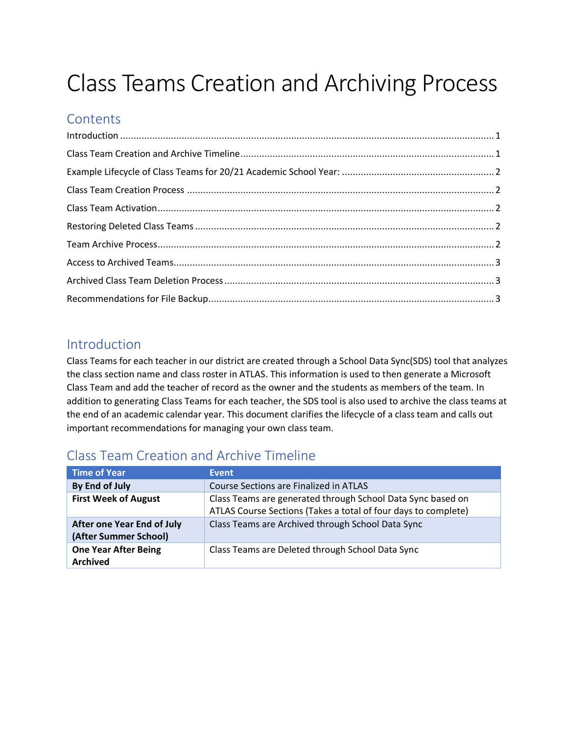# Class Teams Creation and Archiving Process

#### **Contents**

| $\label{eq:interoduction} \mbox{Introduction} \,\, \ldots \,\, \ldots \,\, \ldots \,\, \ldots \,\, \ldots \,\, \ldots \,\, \ldots \,\, \ldots \,\, \ldots \,\, \ldots \,\, \ldots \,\, \ldots \,\, \ldots \,\, \ldots \,\, \ldots \,\, \ldots \,\, \ldots \,\, \ldots \,\, \ldots \,\, \ldots \,\, \ldots \,\, \ldots \,\, \ldots \,\, \ldots \,\, \ldots \,\, \ldots \,\, \ldots \,\, \ldots \,\, \ldots \,\, \ldots \,\, \ldots \,\, \ldots \,\, \ldots \,\, \ldots \$ |  |
|--------------------------------------------------------------------------------------------------------------------------------------------------------------------------------------------------------------------------------------------------------------------------------------------------------------------------------------------------------------------------------------------------------------------------------------------------------------------------|--|
|                                                                                                                                                                                                                                                                                                                                                                                                                                                                          |  |
|                                                                                                                                                                                                                                                                                                                                                                                                                                                                          |  |
|                                                                                                                                                                                                                                                                                                                                                                                                                                                                          |  |
|                                                                                                                                                                                                                                                                                                                                                                                                                                                                          |  |
|                                                                                                                                                                                                                                                                                                                                                                                                                                                                          |  |
|                                                                                                                                                                                                                                                                                                                                                                                                                                                                          |  |
|                                                                                                                                                                                                                                                                                                                                                                                                                                                                          |  |
|                                                                                                                                                                                                                                                                                                                                                                                                                                                                          |  |
|                                                                                                                                                                                                                                                                                                                                                                                                                                                                          |  |

### <span id="page-0-0"></span>Introduction

Class Teams for each teacher in our district are created through a School Data Sync(SDS) tool that analyzes the class section name and class roster in ATLAS. This information is used to then generate a Microsoft Class Team and add the teacher of record as the owner and the students as members of the team. In addition to generating Class Teams for each teacher, the SDS tool is also used to archive the class teams at the end of an academic calendar year. This document clarifies the lifecycle of a class team and calls out important recommendations for managing your own class team.

## <span id="page-0-1"></span>Class Team Creation and Archive Timeline

| <b>Time of Year</b>                                 | <b>Event</b>                                                                                                                  |
|-----------------------------------------------------|-------------------------------------------------------------------------------------------------------------------------------|
| By End of July                                      | <b>Course Sections are Finalized in ATLAS</b>                                                                                 |
| <b>First Week of August</b>                         | Class Teams are generated through School Data Sync based on<br>ATLAS Course Sections (Takes a total of four days to complete) |
| After one Year End of July<br>(After Summer School) | Class Teams are Archived through School Data Sync                                                                             |
| <b>One Year After Being</b><br><b>Archived</b>      | Class Teams are Deleted through School Data Sync                                                                              |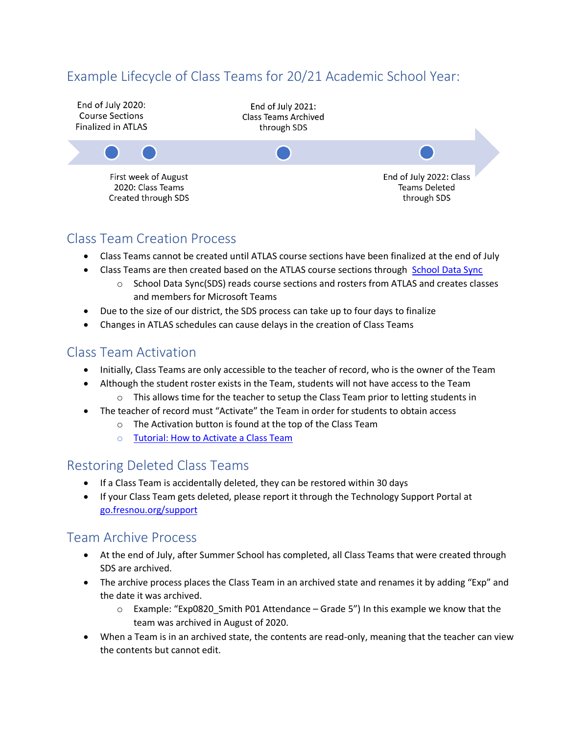# <span id="page-1-0"></span>Example Lifecycle of Class Teams for 20/21 Academic School Year:



#### <span id="page-1-1"></span>Class Team Creation Process

- Class Teams cannot be created until ATLAS course sections have been finalized at the end of July
- Class Teams are then created based on the ATLAS course sections through [School Data Sync](https://sds.microsoft.com/)
	- $\circ$  School Data Sync(SDS) reads course sections and rosters from ATLAS and creates classes and members for Microsoft Teams
- Due to the size of our district, the SDS process can take up to four days to finalize
- Changes in ATLAS schedules can cause delays in the creation of Class Teams

#### <span id="page-1-2"></span>Class Team Activation

- Initially, Class Teams are only accessible to the teacher of record, who is the owner of the Team
- Although the student roster exists in the Team, students will not have access to the Team  $\circ$  This allows time for the teacher to setup the Class Team prior to letting students in
- The teacher of record must "Activate" the Team in order for students to obtain access
	- o The Activation button is found at the top of the Class Team
		- o [Tutorial: How to Activate a Class Team](https://support.microsoft.com/en-us/topic/activate-early-access-class-teams-created-by-your-it-admin-0d154696-66ab-4fcf-b22f-c3d9a82aaf78)

#### <span id="page-1-3"></span>Restoring Deleted Class Teams

- If a Class Team is accidentally deleted, they can be restored within 30 days
- If your Class Team gets deleted, please report it through the Technology Support Portal at [go.fresnou.org/support](http://go.fresnou.org/support)

#### <span id="page-1-4"></span>Team Archive Process

- At the end of July, after Summer School has completed, all Class Teams that were created through SDS are archived.
- The archive process places the Class Team in an archived state and renames it by adding "Exp" and the date it was archived.
	- $\circ$  Example: "Exp0820 Smith P01 Attendance Grade 5") In this example we know that the team was archived in August of 2020.
- When a Team is in an archived state, the contents are read-only, meaning that the teacher can view the contents but cannot edit.